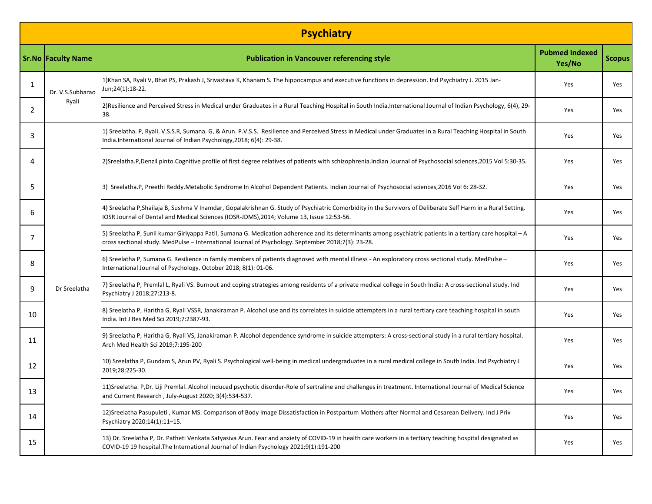| <b>Psychiatry</b> |                           |                                                                                                                                                                                                                                                                   |                                 |               |  |  |  |  |
|-------------------|---------------------------|-------------------------------------------------------------------------------------------------------------------------------------------------------------------------------------------------------------------------------------------------------------------|---------------------------------|---------------|--|--|--|--|
|                   | <b>Sr.No Faculty Name</b> | <b>Publication in Vancouver referencing style</b>                                                                                                                                                                                                                 | <b>Pubmed Indexed</b><br>Yes/No | <b>Scopus</b> |  |  |  |  |
| 1                 | Dr. V.S.Subbarao<br>Ryali | 1)Khan SA, Ryali V, Bhat PS, Prakash J, Srivastava K, Khanam S. The hippocampus and executive functions in depression. Ind Psychiatry J. 2015 Jan-<br>Jun;24(1):18-22.                                                                                            | Yes                             | Yes           |  |  |  |  |
| 2                 |                           | 2) Resilience and Perceived Stress in Medical under Graduates in a Rural Teaching Hospital in South India.International Journal of Indian Psychology, 6(4), 29-<br>38.                                                                                            | Yes                             | Yes           |  |  |  |  |
| 3                 | Dr Sreelatha              | 1) Sreelatha. P, Ryali. V.S.S.R, Sumana. G, & Arun. P.V.S.S. Resilience and Perceived Stress in Medical under Graduates in a Rural Teaching Hospital in South<br>India.International Journal of Indian Psychology, 2018; 6(4): 29-38.                             | Yes                             | Yes           |  |  |  |  |
| 4                 |                           | 2)Sreelatha.P,Denzil pinto.Cognitive profile of first degree relatives of patients with schizophrenia.Indian Journal of Psychosocial sciences,2015 Vol 5:30-35.                                                                                                   | Yes                             | Yes           |  |  |  |  |
| 5                 |                           | 3) Sreelatha.P, Preethi Reddy.Metabolic Syndrome In Alcohol Dependent Patients. Indian Journal of Psychosocial sciences, 2016 Vol 6: 28-32.                                                                                                                       | Yes                             | Yes           |  |  |  |  |
| 6                 |                           | 4) Sreelatha P, Shailaja B, Sushma V Inamdar, Gopalakrishnan G. Study of Psychiatric Comorbidity in the Survivors of Deliberate Self Harm in a Rural Setting.<br>IOSR Journal of Dental and Medical Sciences (IOSR-JDMS), 2014; Volume 13, Issue 12:53-56.        | Yes                             | Yes           |  |  |  |  |
| 7                 |                           | 5) Sreelatha P, Sunil kumar Giriyappa Patil, Sumana G. Medication adherence and its determinants among psychiatric patients in a tertiary care hospital - A<br>cross sectional study. MedPulse - International Journal of Psychology. September 2018;7(3): 23-28. | Yes                             | Yes           |  |  |  |  |
| 8                 |                           | 6) Sreelatha P, Sumana G. Resilience in family members of patients diagnosed with mental illness - An exploratory cross sectional study. MedPulse -<br>International Journal of Psychology. October 2018; 8(1): 01-06.                                            | Yes                             | Yes           |  |  |  |  |
| 9                 |                           | 7) Sreelatha P, Premlal L, Ryali VS. Burnout and coping strategies among residents of a private medical college in South India: A cross-sectional study. Ind<br>Psychiatry J 2018;27:213-8.                                                                       | Yes                             | Yes           |  |  |  |  |
| 10                |                           | 8) Sreelatha P, Haritha G, Ryali VSSR, Janakiraman P. Alcohol use and its correlates in suicide attempters in a rural tertiary care teaching hospital in south<br>India. Int J Res Med Sci 2019;7:2387-93.                                                        | Yes                             | Yes           |  |  |  |  |
| 11                |                           | 9) Sreelatha P, Haritha G, Ryali VS, Janakiraman P. Alcohol dependence syndrome in suicide attempters: A cross-sectional study in a rural tertiary hospital.<br>Arch Med Health Sci 2019;7:195-200                                                                | Yes                             | Yes           |  |  |  |  |
| 12                |                           | 10) Sreelatha P, Gundam S, Arun PV, Ryali S. Psychological well-being in medical undergraduates in a rural medical college in South India. Ind Psychiatry J<br>2019;28:225-30.                                                                                    | Yes                             | Yes           |  |  |  |  |
| 13                |                           | 11)Sreelatha. P,Dr. Liji Premlal. Alcohol induced psychotic disorder-Role of sertraline and challenges in treatment. International Journal of Medical Science<br>and Current Research, July-August 2020; 3(4):534-537.                                            | Yes                             | Yes           |  |  |  |  |
| 14                |                           | 12) Sreelatha Pasupuleti, Kumar MS. Comparison of Body Image Dissatisfaction in Postpartum Mothers after Normal and Cesarean Delivery. Ind J Priv<br>Psychiatry 2020;14(1):11-15.                                                                                 | Yes                             | Yes           |  |  |  |  |
| 15                |                           | 13) Dr. Sreelatha P, Dr. Patheti Venkata Satyasiva Arun. Fear and anxiety of COVID-19 in health care workers in a tertiary teaching hospital designated as<br>COVID-19 19 hospital. The International Journal of Indian Psychology 2021;9(1):191-200              | Yes                             | Yes           |  |  |  |  |